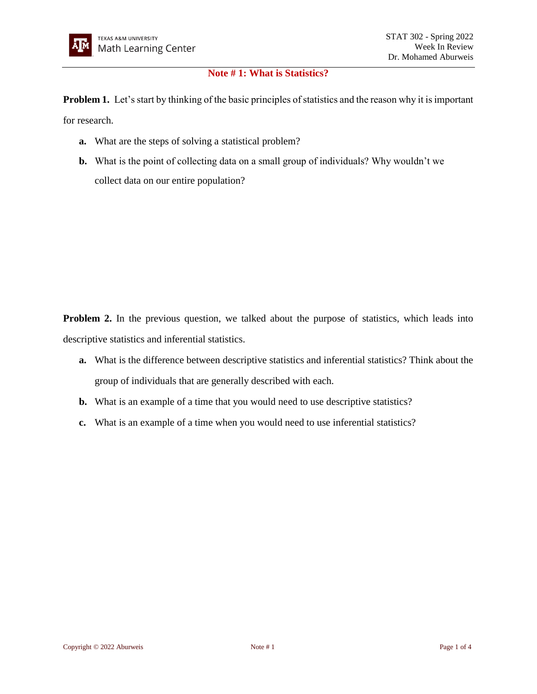## **Note # 1: What is Statistics?**

**Problem 1.** Let's start by thinking of the basic principles of statistics and the reason why it is important

for research.

- **a.** What are the steps of solving a statistical problem?
- **b.** What is the point of collecting data on a small group of individuals? Why wouldn't we collect data on our entire population?

**Problem 2.** In the previous question, we talked about the purpose of statistics, which leads into descriptive statistics and inferential statistics.

- **a.** What is the difference between descriptive statistics and inferential statistics? Think about the group of individuals that are generally described with each.
- **b.** What is an example of a time that you would need to use descriptive statistics?
- **c.** What is an example of a time when you would need to use inferential statistics?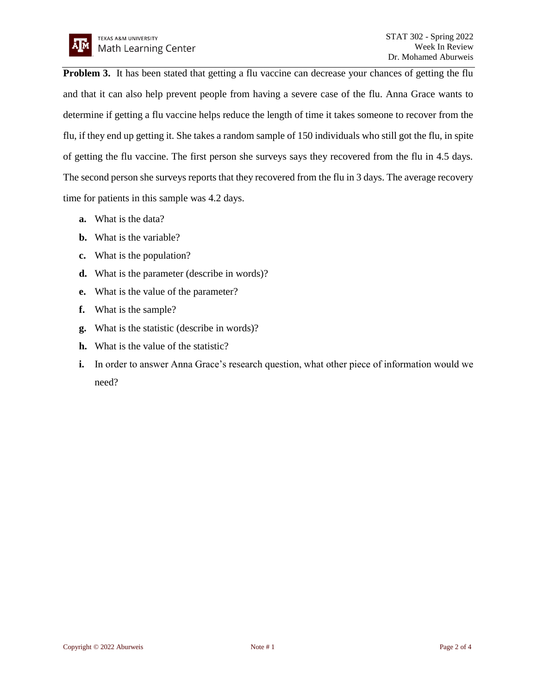**Problem 3.** It has been stated that getting a flu vaccine can decrease your chances of getting the flu and that it can also help prevent people from having a severe case of the flu. Anna Grace wants to determine if getting a flu vaccine helps reduce the length of time it takes someone to recover from the flu, if they end up getting it. She takes a random sample of 150 individuals who still got the flu, in spite of getting the flu vaccine. The first person she surveys says they recovered from the flu in 4.5 days. The second person she surveys reports that they recovered from the flu in 3 days. The average recovery time for patients in this sample was 4.2 days.

- **a.** What is the data?
- **b.** What is the variable?
- **c.** What is the population?
- **d.** What is the parameter (describe in words)?
- **e.** What is the value of the parameter?
- **f.** What is the sample?
- **g.** What is the statistic (describe in words)?
- **h.** What is the value of the statistic?
- **i.** In order to answer Anna Grace's research question, what other piece of information would we need?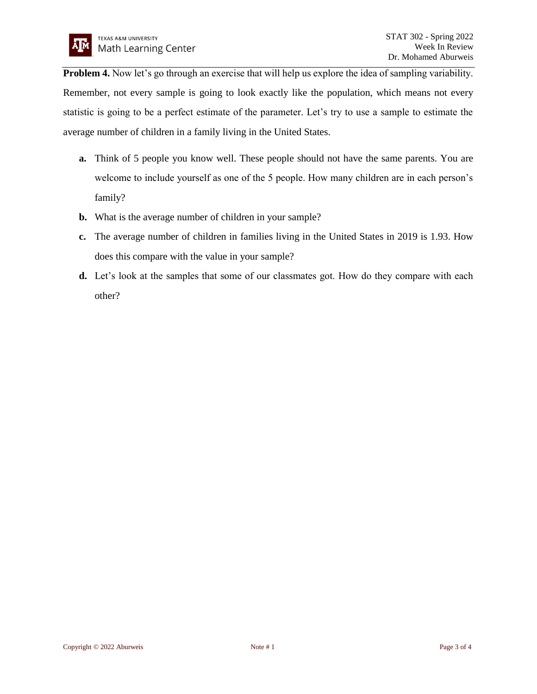**Problem 4.** Now let's go through an exercise that will help us explore the idea of sampling variability. Remember, not every sample is going to look exactly like the population, which means not every statistic is going to be a perfect estimate of the parameter. Let's try to use a sample to estimate the average number of children in a family living in the United States.

- **a.** Think of 5 people you know well. These people should not have the same parents. You are welcome to include yourself as one of the 5 people. How many children are in each person's family?
- **b.** What is the average number of children in your sample?
- **c.** The average number of children in families living in the United States in 2019 is 1.93. How does this compare with the value in your sample?
- **d.** Let's look at the samples that some of our classmates got. How do they compare with each other?